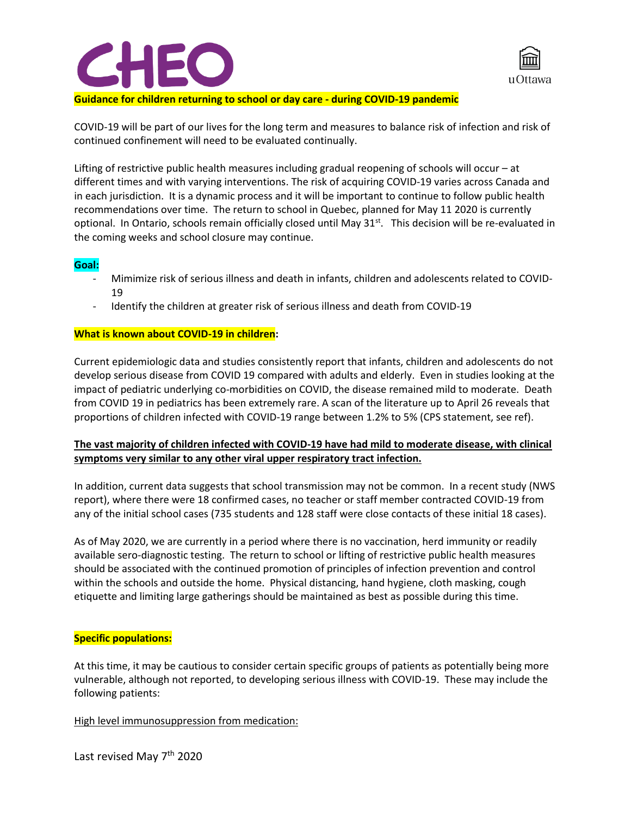



#### **Guidance for children returning to school or day care - during COVID-19 pandemic**

COVID-19 will be part of our lives for the long term and measures to balance risk of infection and risk of continued confinement will need to be evaluated continually.

Lifting of restrictive public health measures including gradual reopening of schools will occur – at different times and with varying interventions. The risk of acquiring COVID-19 varies across Canada and in each jurisdiction. It is a dynamic process and it will be important to continue to follow public health recommendations over time. The return to school in Quebec, planned for May 11 2020 is currently optional. In Ontario, schools remain officially closed until May  $31<sup>st</sup>$ . This decision will be re-evaluated in the coming weeks and school closure may continue.

#### **Goal:**

- Mimimize risk of serious illness and death in infants, children and adolescents related to COVID-19
- Identify the children at greater risk of serious illness and death from COVID-19

#### **What is known about COVID-19 in children:**

Current epidemiologic data and studies consistently report that infants, children and adolescents do not develop serious disease from COVID 19 compared with adults and elderly. Even in studies looking at the impact of pediatric underlying co-morbidities on COVID, the disease remained mild to moderate. Death from COVID 19 in pediatrics has been extremely rare. A scan of the literature up to April 26 reveals that proportions of children infected with COVID-19 range between 1.2% to 5% (CPS statement, see ref).

# **The vast majority of children infected with COVID-19 have had mild to moderate disease, with clinical symptoms very similar to any other viral upper respiratory tract infection.**

In addition, current data suggests that school transmission may not be common. In a recent study (NWS report), where there were 18 confirmed cases, no teacher or staff member contracted COVID-19 from any of the initial school cases (735 students and 128 staff were close contacts of these initial 18 cases).

As of May 2020, we are currently in a period where there is no vaccination, herd immunity or readily available sero-diagnostic testing. The return to school or lifting of restrictive public health measures should be associated with the continued promotion of principles of infection prevention and control within the schools and outside the home. Physical distancing, hand hygiene, cloth masking, cough etiquette and limiting large gatherings should be maintained as best as possible during this time.

#### **Specific populations:**

At this time, it may be cautious to consider certain specific groups of patients as potentially being more vulnerable, although not reported, to developing serious illness with COVID-19. These may include the following patients:

High level immunosuppression from medication:

Last revised May 7<sup>th</sup> 2020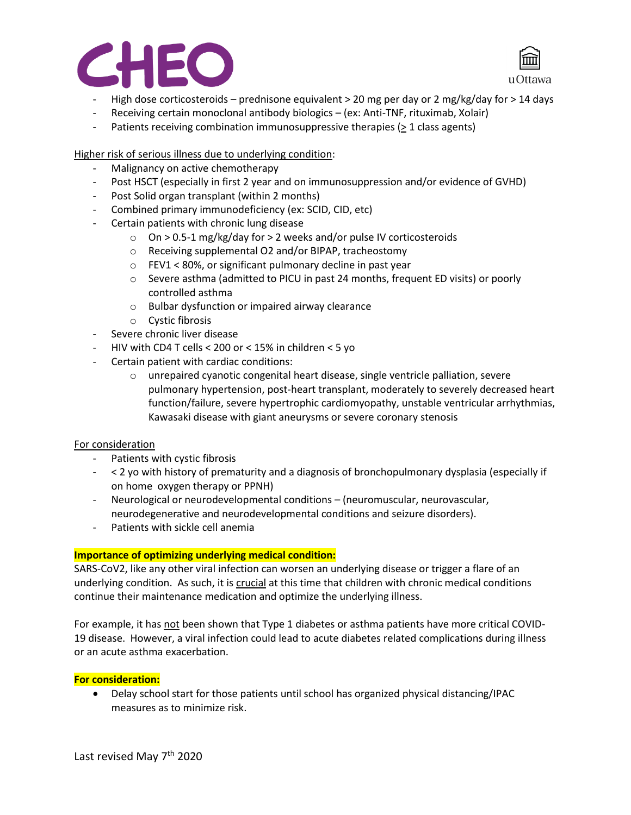



- High dose corticosteroids prednisone equivalent > 20 mg per day or 2 mg/kg/day for > 14 days
- Receiving certain monoclonal antibody biologics (ex: Anti-TNF, rituximab, Xolair)
- Patients receiving combination immunosuppressive therapies (> 1 class agents)

# Higher risk of serious illness due to underlying condition:

- Malignancy on active chemotherapy
- Post HSCT (especially in first 2 year and on immunosuppression and/or evidence of GVHD)
- Post Solid organ transplant (within 2 months)
- Combined primary immunodeficiency (ex: SCID, CID, etc)
- Certain patients with chronic lung disease
	- o On > 0.5-1 mg/kg/day for > 2 weeks and/or pulse IV corticosteroids
	- o Receiving supplemental O2 and/or BIPAP, tracheostomy
	- o FEV1 < 80%, or significant pulmonary decline in past year
	- $\circ$  Severe asthma (admitted to PICU in past 24 months, frequent ED visits) or poorly controlled asthma
	- o Bulbar dysfunction or impaired airway clearance
	- o Cystic fibrosis
- Severe chronic liver disease
- HIV with CD4 T cells < 200 or < 15% in children < 5 yo
- Certain patient with cardiac conditions:
	- o unrepaired cyanotic congenital heart disease, single ventricle palliation, severe pulmonary hypertension, post-heart transplant, moderately to severely decreased heart function/failure, severe hypertrophic cardiomyopathy, unstable ventricular arrhythmias, Kawasaki disease with giant aneurysms or severe coronary stenosis

## For consideration

- Patients with cystic fibrosis
- < 2 yo with history of prematurity and a diagnosis of bronchopulmonary dysplasia (especially if on home oxygen therapy or PPNH)
- Neurological or neurodevelopmental conditions (neuromuscular, neurovascular, neurodegenerative and neurodevelopmental conditions and seizure disorders).
- Patients with sickle cell anemia

## **Importance of optimizing underlying medical condition:**

SARS-CoV2, like any other viral infection can worsen an underlying disease or trigger a flare of an underlying condition. As such, it is crucial at this time that children with chronic medical conditions continue their maintenance medication and optimize the underlying illness.

For example, it has not been shown that Type 1 diabetes or asthma patients have more critical COVID-19 disease. However, a viral infection could lead to acute diabetes related complications during illness or an acute asthma exacerbation.

## **For consideration:**

• Delay school start for those patients until school has organized physical distancing/IPAC measures as to minimize risk.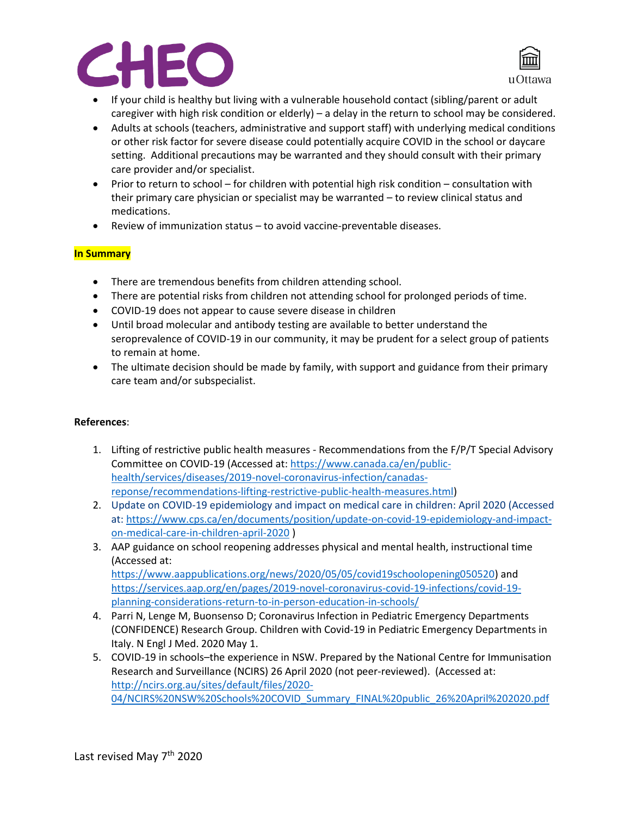



- If your child is healthy but living with a vulnerable household contact (sibling/parent or adult caregiver with high risk condition or elderly) – a delay in the return to school may be considered.
- Adults at schools (teachers, administrative and support staff) with underlying medical conditions or other risk factor for severe disease could potentially acquire COVID in the school or daycare setting. Additional precautions may be warranted and they should consult with their primary care provider and/or specialist.
- Prior to return to school for children with potential high risk condition consultation with their primary care physician or specialist may be warranted – to review clinical status and medications.
- Review of immunization status to avoid vaccine-preventable diseases.

## **In Summary**

- There are tremendous benefits from children attending school.
- There are potential risks from children not attending school for prolonged periods of time.
- COVID-19 does not appear to cause severe disease in children
- Until broad molecular and antibody testing are available to better understand the seroprevalence of COVID-19 in our community, it may be prudent for a select group of patients to remain at home.
- The ultimate decision should be made by family, with support and guidance from their primary care team and/or subspecialist.

## **References**:

- 1. Lifting of restrictive public health measures Recommendations from the F/P/T Special Advisory Committee on COVID-19 (Accessed at: [https://www.canada.ca/en/public](https://www.canada.ca/en/public-health/services/diseases/2019-novel-coronavirus-infection/canadas-reponse/recommendations-lifting-restrictive-public-health-measures.html)[health/services/diseases/2019-novel-coronavirus-infection/canadas](https://www.canada.ca/en/public-health/services/diseases/2019-novel-coronavirus-infection/canadas-reponse/recommendations-lifting-restrictive-public-health-measures.html)[reponse/recommendations-lifting-restrictive-public-health-measures.html\)](https://www.canada.ca/en/public-health/services/diseases/2019-novel-coronavirus-infection/canadas-reponse/recommendations-lifting-restrictive-public-health-measures.html)
- 2. Update on COVID-19 epidemiology and impact on medical care in children: April 2020 (Accessed at: [https://www.cps.ca/en/documents/position/update-on-covid-19-epidemiology-and-impact](https://www.cps.ca/en/documents/position/update-on-covid-19-epidemiology-and-impact-on-medical-care-in-children-april-2020)[on-medical-care-in-children-april-2020](https://www.cps.ca/en/documents/position/update-on-covid-19-epidemiology-and-impact-on-medical-care-in-children-april-2020) )
- 3. AAP guidance on school reopening addresses physical and mental health, instructional time (Accessed at: [https://www.aappublications.org/news/2020/05/05/covid19schoolopening050520\)](https://www.aappublications.org/news/2020/05/05/covid19schoolopening050520) and [https://services.aap.org/en/pages/2019-novel-coronavirus-covid-19-infections/covid-19](https://services.aap.org/en/pages/2019-novel-coronavirus-covid-19-infections/covid-19-planning-considerations-return-to-in-person-education-in-schools/) [planning-considerations-return-to-in-person-education-in-schools/](https://services.aap.org/en/pages/2019-novel-coronavirus-covid-19-infections/covid-19-planning-considerations-return-to-in-person-education-in-schools/)
- 4. Parri N, Lenge M, Buonsenso D; Coronavirus Infection in Pediatric Emergency Departments (CONFIDENCE) Research Group. Children with Covid-19 in Pediatric Emergency Departments in Italy. N Engl J Med. 2020 May 1.
- 5. COVID-19 in schools–the experience in NSW. Prepared by the National Centre for Immunisation Research and Surveillance (NCIRS) 26 April 2020 (not peer-reviewed). (Accessed at: [http://ncirs.org.au/sites/default/files/2020-](http://ncirs.org.au/sites/default/files/2020-04/NCIRS%20NSW%20Schools%20COVID_Summary_FINAL%20public_26%20April%202020.pdf) [04/NCIRS%20NSW%20Schools%20COVID\\_Summary\\_FINAL%20public\\_26%20April%202020.pdf](http://ncirs.org.au/sites/default/files/2020-04/NCIRS%20NSW%20Schools%20COVID_Summary_FINAL%20public_26%20April%202020.pdf)